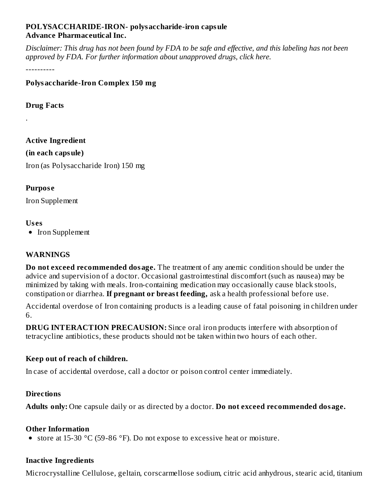#### **POLYSACCHARIDE-IRON- polysaccharide-iron capsule Advance Pharmaceutical Inc.**

Disclaimer: This drug has not been found by FDA to be safe and effective, and this labeling has not been *approved by FDA. For further information about unapproved drugs, click here.*

----------

**Polysaccharide-Iron Complex 150 mg**

**Drug Facts**

.

**Active Ingredient (in each capsule)** Iron (as Polysaccharide Iron) 150 mg

## **Purpos e**

Iron Supplement

## **Us es**

• Iron Supplement

### **WARNINGS**

**Do not exceed recommended dosage.** The treatment of any anemic condition should be under the advice and supervision of a doctor. Occasional gastrointestinal discomfort (such as nausea) may be minimized by taking with meals. Iron-containing medication may occasionally cause black stools, constipation or diarrhea. **If pregnant or breast feeding,** ask a health professional before use.

Accidental overdose of Iron containing products is a leading cause of fatal poisoning in children under 6.

**DRUG INTERACTION PRECAUSION:** Since oral iron products interfere with absorption of tetracycline antibiotics, these products should not be taken within two hours of each other.

# **Keep out of reach of children.**

In case of accidental overdose, call a doctor or poison control center immediately.

### **Directions**

**Adults only:** One capsule daily or as directed by a doctor. **Do not exceed recommended dosage.**

### **Other Information**

• store at 15-30  $\degree$ C (59-86  $\degree$ F). Do not expose to excessive heat or moisture.

# **Inactive Ingredients**

Microcrystalline Cellulose, geltain, corscarmellose sodium, citric acid anhydrous, stearic acid, titanium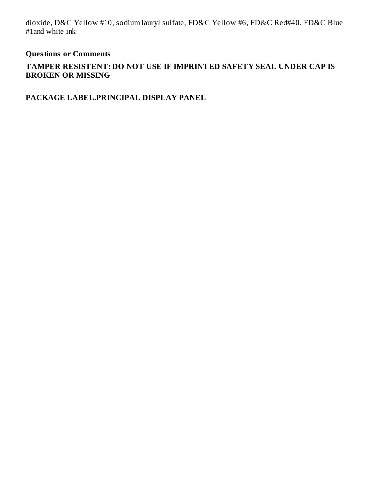dioxide, D&C Yellow #10, sodium lauryl sulfate, FD&C Yellow #6, FD&C Red#40, FD&C Blue #1and white ink

#### **Questions or Comments**

#### **TAMPER RESISTENT: DO NOT USE IF IMPRINTED SAFETY SEAL UNDER CAP IS BROKEN OR MISSING**

**PACKAGE LABEL.PRINCIPAL DISPLAY PANEL**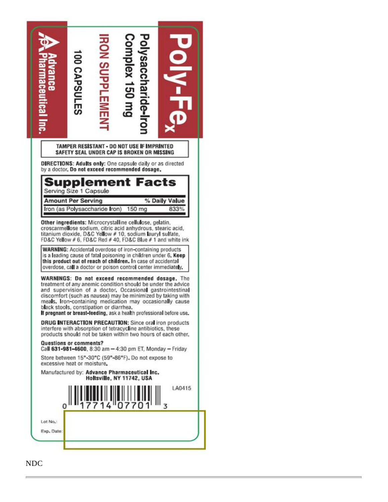

NDC